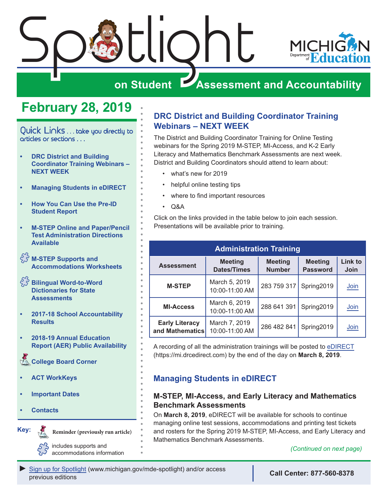

## **on Student Assessment and Accountability**

## **February 28, 2019**

<span id="page-0-0"></span>Quick Links . . . take you directly to articles or sections . . .

- **• DRC District and Building Coordinator Training Webinars – NEXT WEEK**
- **• Managing Students in eDIRECT**
- **• [How You Can Use the Pre-ID](#page-1-0)  [Student Report](#page-1-0)**
- **• [M-STEP Online and Paper/Pencil](#page-2-0)  [Test Administration Directions](#page-2-0)  [Available](#page-2-0)**
- **[M-STEP Supports and](#page-2-0)  [Accommodations Worksheets](#page-2-0)**
- $\int_{\sqrt{2}}^{\sqrt{2}}$  Bilingual Word-to-Word **[Dictionaries for State](#page-2-0)  [Assessments](#page-2-0)**
- **• [2017-18 School Accountability](#page-3-0)  [Results](#page-3-0)**
- **• [2018-19 Annual Education](#page-3-0)  [Report \(AER\) Public Availability](#page-3-0)**

**College Board Corner** 

- **• [ACT WorkKeys](#page-6-0)**
- **• [Important Dates](#page-8-0)**
- **• [Contacts](#page-10-0)**

Reminders



**Reminder (previously run article)**

*(Continued on next page)* includes supports and accommodations information

### **DRC District and Building Coordinator Training Webinars – NEXT WEEK**

The District and Building Coordinator Training for Online Testing webinars for the Spring 2019 M-STEP, MI-Access, and K-2 Early Literacy and Mathematics Benchmark Assessments are next week. District and Building Coordinators should attend to learn about:

- what's new for 2019
- helpful online testing tips
- where to find important resources
- Q&A

Click on the links provided in the table below to join each session. Presentations will be available prior to training.

| <b>Administration Training</b>           |                                      |                                 |                                   |                        |  |  |
|------------------------------------------|--------------------------------------|---------------------------------|-----------------------------------|------------------------|--|--|
| <b>Assessment</b>                        | <b>Meeting</b><br><b>Dates/Times</b> | <b>Meeting</b><br><b>Number</b> | <b>Meeting</b><br><b>Password</b> | <b>Link to</b><br>Join |  |  |
| <b>M-STEP</b>                            | March 5, 2019<br>10:00-11:00 AM      | 283 759 317                     | Spring2019                        | Join                   |  |  |
| <b>MI-Access</b>                         | March 6, 2019<br>10:00-11:00 AM      | 288 641 391                     | Spring2019                        | Join                   |  |  |
| <b>Early Literacy</b><br>and Mathematics | March 7, 2019<br>10:00-11:00 AM      | 286 482 841                     | Spring2019                        | Join                   |  |  |

A recording of all the administration trainings will be posted to [eDIRECT](https://mi.drcedirect.com) (https://mi.drcedirect.com) by the end of the day on **March 8, 2019**.

### **Managing Students in eDIRECT**

#### **M-STEP, MI-Access, and Early Literacy and Mathematics Benchmark Assessments**

On **March 8, 2019**, eDIRECT will be available for schools to continue managing online test sessions, accommodations and printing test tickets and rosters for the Spring 2019 M-STEP, MI-Access, and Early Literacy and Mathematics Benchmark Assessments.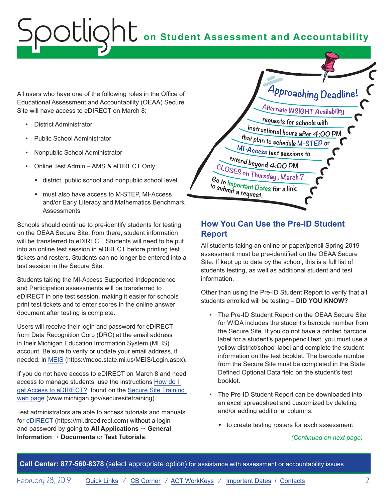<span id="page-1-0"></span>All users who have one of the following roles in the Office of Educational Assessment and Accountability (OEAA) Secure Site will have access to eDIRECT on March 8:

- District Administrator
- Public School Administrator
- Nonpublic School Administrator
- Online Test Admin AMS & eDIRECT Only
	- $\bullet$  district, public school and nonpublic school level
	- must also have access to M-STEP, MI-Access and/or Early Literacy and Mathematics Benchmark **Assessments**

Schools should continue to pre-identify students for testing on the OEAA Secure Site; from there, student information will be transferred to eDIRECT. Students will need to be put into an online test session in eDIRECT before printing test tickets and rosters. Students can no longer be entered into a test session in the Secure Site.

Students taking the MI-Access Supported Independence and Participation assessments will be transferred to eDIRECT in one test session, making it easier for schools print test tickets and to enter scores in the online answer document after testing is complete.

Users will receive their login and password for eDIRECT from Data Recognition Corp (DRC) at the email address in their Michigan Education Information System (MEIS) account. Be sure to verify or update your email address, if needed, in [MEIS](https://mdoe.state.mi.us/MEIS/Login.aspx) (https://mdoe.state.mi.us/MEIS/Login.aspx).

If you do not have access to eDIRECT on March 8 and need access to manage students, use the instructions [How do I](https://www.michigan.gov/documents/mde/How_do_I_get_access_to_eDIRECT_604305_7.pdf)  [get Access to eDIRECT?,](https://www.michigan.gov/documents/mde/How_do_I_get_access_to_eDIRECT_604305_7.pdf) found on the [Secure Site Training](http://www.michigan.gov/securesitetraining)  [web page](http://www.michigan.gov/securesitetraining) (www.michigan.gov/securesitetraining).

Test administrators are able to access tutorials and manuals for [eDIRECT](https://mi.drcedirect.com) (https://mi.drcedirect.com) without a login and password by going to **All Applications** → **General Information** → **Documents** or **Test Tutorials**.



### **How You Can Use the Pre-ID Student Report**

All students taking an online or paper/pencil Spring 2019 assessment must be pre-identified on the OEAA Secure Site. If kept up to date by the school, this is a full list of students testing, as well as additional student and test information.

Other than using the Pre-ID Student Report to verify that all students enrolled will be testing – **DID YOU KNOW?**

- The Pre-ID Student Report on the OEAA Secure Site for WIDA includes the student's barcode number from the Secure Site. If you do not have a printed barcode label for a student's paper/pencil test, you must use a yellow district/school label and complete the student information on the test booklet. The barcode number from the Secure Site must be completed in the State Defined Optional Data field on the student's test booklet.
- The Pre-ID Student Report can be downloaded into an excel spreadsheet and customized by deleting and/or adding additional columns:
	- $\bullet$  to create testing rosters for each assessment

*(Continued on next page)*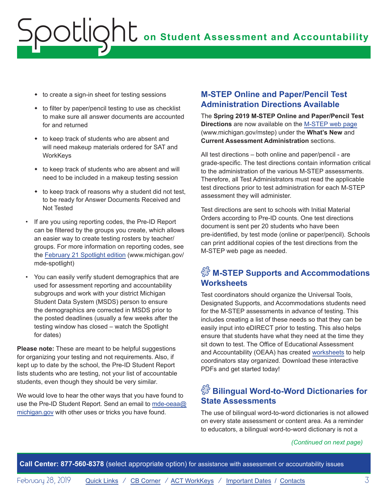- <span id="page-2-0"></span> $\bullet$  to create a sign-in sheet for testing sessions
- $\bullet$  to filter by paper/pencil testing to use as checklist to make sure all answer documents are accounted for and returned
- $\bullet$  to keep track of students who are absent and will need makeup materials ordered for SAT and **WorkKeys**
- $\bullet$  to keep track of students who are absent and will need to be included in a makeup testing session
- to keep track of reasons why a student did not test, to be ready for Answer Documents Received and Not Tested
- If are you using reporting codes, the Pre-ID Report can be filtered by the groups you create, which allows an easier way to create testing rosters by teacher/ groups. For more information on reporting codes, see the [February 21 Spotlight edition](https://www.michigan.gov/documents/mde/Spotlight_2.21.19_646992_7.pdf) (www.michigan.gov/ mde-spotlight)
- You can easily verify student demographics that are used for assessment reporting and accountability subgroups and work with your district Michigan Student Data System (MSDS) person to ensure the demographics are corrected in MSDS prior to the posted deadlines (usually a few weeks after the testing window has closed – watch the Spotlight for dates)

**Please note:** These are meant to be helpful suggestions for organizing your testing and not requirements. Also, if kept up to date by the school, the Pre-ID Student Report lists students who are testing, not your list of accountable students, even though they should be very similar.

We would love to hear the other ways that you have found to use the Pre-ID Student Report. Send an email to [mde-oeaa@](mailto:mde-oeaa%40michigan.gov?subject=) [michigan.gov](mailto:mde-oeaa%40michigan.gov?subject=) with other uses or tricks you have found.

### **M-STEP Online and Paper/Pencil Test Administration Directions Available**

The **Spring 2019 M-STEP Online and Paper/Pencil Test Directions** are now available on the [M-STEP web page](www.michigan.gov/mstep) (www.michigan.gov/mstep) under the **What's New** and **Current Assessment Administration** sections.

All test directions – both online and paper/pencil - are grade-specific. The test directions contain information critical to the administration of the various M-STEP assessments. Therefore, all Test Administrators must read the applicable test directions prior to test administration for each M-STEP assessment they will administer.

Test directions are sent to schools with Initial Material Orders according to Pre-ID counts. One test directions document is sent per 20 students who have been pre-identified, by test mode (online or paper/pencil). Schools can print additional copies of the test directions from the M-STEP web page as needed.

## $\Im$ <sup>3</sup> M-STEP Supports and Accommodations **Worksheets**

Test coordinators should organize the Universal Tools, Designated Supports, and Accommodations students need for the M-STEP assessments in advance of testing. This includes creating a list of these needs so that they can be easily input into eDIRECT prior to testing. This also helps ensure that students have what they need at the time they sit down to test. The Office of Educational Assessment and Accountability (OEAA) has created [worksheets](https://www.michigan.gov/mde/0,4615,7-140-22709_70117-347506--,00.html) to help coordinators stay organized. Download these interactive PDFs and get started today!

## $\hat{\mathbb{S}}$  Bilingual Word-to-Word Dictionaries for **State Assessments**

The use of bilingual word-to-word dictionaries is not allowed on every state assessment or content area. As a reminder to educators, a bilingual word-to-word dictionary is not a

#### *(Continued on next page)*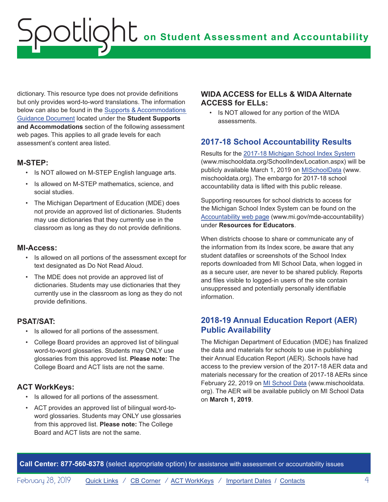<span id="page-3-0"></span>dictionary. This resource type does not provide definitions but only provides word-to-word translations. The information below can also be found in the [Supports & Accommodations](https://www.michigan.gov/documents/mde/Michigan_Accommodations_Manual.final_480016_7.pdf)  [Guidance Document](https://www.michigan.gov/documents/mde/Michigan_Accommodations_Manual.final_480016_7.pdf) located under the **Student Supports and Accommodations** section of the following assessment web pages. This applies to all grade levels for each assessment's content area listed.

#### **M-STEP:**

- Is NOT allowed on M-STEP English language arts.
- Is allowed on M-STEP mathematics, science, and social studies.
- The Michigan Department of Education (MDE) does not provide an approved list of dictionaries. Students may use dictionaries that they currently use in the classroom as long as they do not provide definitions.

#### **MI-Access:**

- Is allowed on all portions of the assessment except for text designated as Do Not Read Aloud.
- The MDE does not provide an approved list of dictionaries. Students may use dictionaries that they currently use in the classroom as long as they do not provide definitions.

#### **PSAT/SAT:**

- Is allowed for all portions of the assessment.
- College Board provides an approved list of bilingual word-to-word glossaries. Students may ONLY use glossaries from this approved list. **Please note:** The College Board and ACT lists are not the same.

#### **ACT WorkKeys:**

- Is allowed for all portions of the assessment.
- ACT provides an approved list of bilingual word-toword glossaries. Students may ONLY use glossaries from this approved list. **Please note:** The College Board and ACT lists are not the same.

#### **WIDA ACCESS for ELLs & WIDA Alternate ACCESS for ELLs:**

• Is NOT allowed for any portion of the WIDA assessments.

### **2017-18 School Accountability Results**

Results for the [2017-18 Michigan School Index System](http://www.mischooldata.org/SchoolIndex/Location.aspx) (www.mischooldata.org/SchoolIndex/Location.aspx) will be publicly available March 1, 2019 on [MISchoolData](https://www.mischooldata.org/) (www. mischooldata.org). The embargo for 2017-18 school accountability data is lifted with this public release.

Supporting resources for school districts to access for the Michigan School Index System can be found on the [Accountability web page](http://www.mi.gov/mde-accountability) (www.mi.gov/mde-accountability) under **Resources for Educators**.

When districts choose to share or communicate any of the information from its Index score, be aware that any student datafiles or screenshots of the School Index reports downloaded from MI School Data, when logged in as a secure user, are never to be shared publicly. Reports and files visible to logged-in users of the site contain unsuppressed and potentially personally identifiable information.

#### **2018-19 Annual Education Report (AER) Public Availability**

The Michigan Department of Education (MDE) has finalized the data and materials for schools to use in publishing their Annual Education Report (AER). Schools have had access to the preview version of the 2017-18 AER data and materials necessary for the creation of 2017-18 AERs since February 22, 2019 on [MI School Data](https://www.mischooldata.org/) (www.mischooldata. org). The AER will be available publicly on MI School Data on **March 1, 2019**.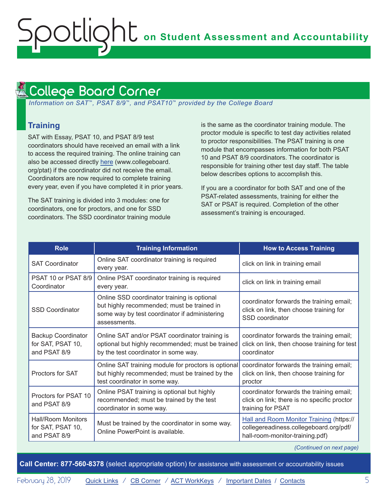#### <span id="page-4-1"></span><span id="page-4-0"></span>College Board Corner **Reminders**

 *Information on SAT*™*, PSAT 8/9*™*, and PSAT10*™ *provided by the College Board*

### **Training**

SAT with Essay, PSAT 10, and PSAT 8/9 test coordinators should have received an email with a link to access the required training. The online training can also be accessed directly [here](http://www.collegeboard.org/ptat) (www.collegeboard. org/ptat) if the coordinator did not receive the email. Coordinators are now required to complete training every year, even if you have completed it in prior years.

The SAT training is divided into 3 modules: one for coordinators, one for proctors, and one for SSD coordinators. The SSD coordinator training module is the same as the coordinator training module. The proctor module is specific to test day activities related to proctor responsibilities. The PSAT training is one module that encompasses information for both PSAT 10 and PSAT 8/9 coordinators. The coordinator is responsible for training other test day staff. The table below describes options to accomplish this.

If you are a coordinator for both SAT and one of the PSAT-related assessments, training for either the SAT or PSAT is required. Completion of the other assessment's training is encouraged.

| <b>Role</b>                                                                                                                                                 | <b>Training Information</b>                                                                                                                                | <b>How to Access Training</b>                                                                                         |  |
|-------------------------------------------------------------------------------------------------------------------------------------------------------------|------------------------------------------------------------------------------------------------------------------------------------------------------------|-----------------------------------------------------------------------------------------------------------------------|--|
| <b>SAT Coordinator</b>                                                                                                                                      | Online SAT coordinator training is required<br>every year.                                                                                                 | click on link in training email                                                                                       |  |
| PSAT 10 or PSAT 8/9<br>Coordinator                                                                                                                          | Online PSAT coordinator training is required<br>every year.                                                                                                | click on link in training email                                                                                       |  |
| <b>SSD Coordinator</b>                                                                                                                                      | Online SSD coordinator training is optional<br>but highly recommended; must be trained in<br>some way by test coordinator if administering<br>assessments. | coordinator forwards the training email;<br>click on link, then choose training for<br>SSD coordinator                |  |
| <b>Backup Coordinator</b><br>for SAT, PSAT 10,<br>and PSAT 8/9                                                                                              | Online SAT and/or PSAT coordinator training is<br>optional but highly recommended; must be trained<br>by the test coordinator in some way.                 | coordinator forwards the training email;<br>click on link, then choose training for test<br>coordinator               |  |
| Proctors for SAT                                                                                                                                            | Online SAT training module for proctors is optional<br>but highly recommended; must be trained by the<br>test coordinator in some way.                     | coordinator forwards the training email;<br>click on link, then choose training for<br>proctor                        |  |
| Online PSAT training is optional but highly<br>Proctors for PSAT 10<br>recommended; must be trained by the test<br>and PSAT 8/9<br>coordinator in some way. |                                                                                                                                                            | coordinator forwards the training email;<br>click on link; there is no specific proctor<br>training for PSAT          |  |
| <b>Hall/Room Monitors</b><br>Must be trained by the coordinator in some way.<br>for SAT, PSAT 10,<br>Online PowerPoint is available.<br>and PSAT 8/9        |                                                                                                                                                            | Hall and Room Monitor Training (https://<br>collegereadiness.collegeboard.org/pdf/<br>hall-room-monitor-training.pdf) |  |

*(Continued on next page)*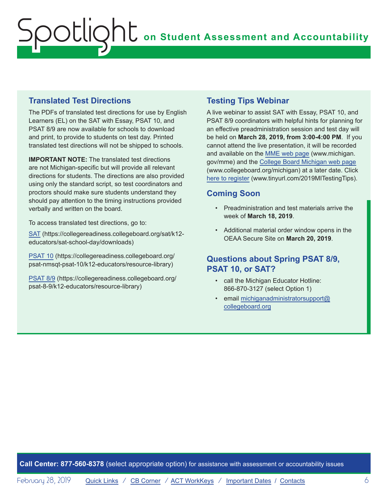### **Translated Test Directions**

The PDFs of translated test directions for use by English Learners (EL) on the SAT with Essay, PSAT 10, and PSAT 8/9 are now available for schools to download and print, to provide to students on test day. Printed translated test directions will not be shipped to schools.

**IMPORTANT NOTE:** The translated test directions are not Michigan-specific but will provide all relevant directions for students. The directions are also provided using only the standard script, so test coordinators and proctors should make sure students understand they should pay attention to the timing instructions provided verbally and written on the board.

To access translated test directions, go to:

[SAT](https://collegereadiness.collegeboard.org/sat/k12-educators/sat-school-day/downloads) (https://collegereadiness.collegeboard.org/sat/k12 educators/sat-school-day/downloads)

[PSAT 10](https://collegereadiness.collegeboard.org/psat-nmsqt-psat-10/k12-educators/resource-library) (https://collegereadiness.collegeboard.org/ psat-nmsqt-psat-10/k12-educators/resource-library)

[PSAT 8/9](https://collegereadiness.collegeboard.org/psat-nmsqt-psat-10/k12-educators/resource-library) (https://collegereadiness.collegeboard.org/ psat-8-9/k12-educators/resource-library)

### **Testing Tips Webinar**

A live webinar to assist SAT with Essay, PSAT 10, and PSAT 8/9 coordinators with helpful hints for planning for an effective preadministration session and test day will be held on **March 28, 2019, from 3:00-4:00 PM**. If you cannot attend the live presentation, it will be recorded and available on the [MME web page](www.michigan.gov/mme) (www.michigan. gov/mme) and the [College Board Michigan web page](http://www.collegeboard.org/michigan) (www.collegeboard.org/michigan) at a later date. Click [here to register](http://www.tinyurl.com/2019MITestingTips) (www.tinyurl.com/2019MITestingTips).

### **Coming Soon**

- Preadministration and test materials arrive the week of **March 18, 2019**.
- Additional material order window opens in the OEAA Secure Site on **March 20, 2019**.

### **Questions about Spring PSAT 8/9, PSAT 10, or SAT?**

- call the Michigan Educator Hotline: 866-870-3127 (select Option 1)
- email [michiganadministratorsupport@](mailto:michiganadministratorsupport%40collegeboard.org?subject=) [collegeboard.org](mailto:michiganadministratorsupport%40collegeboard.org?subject=)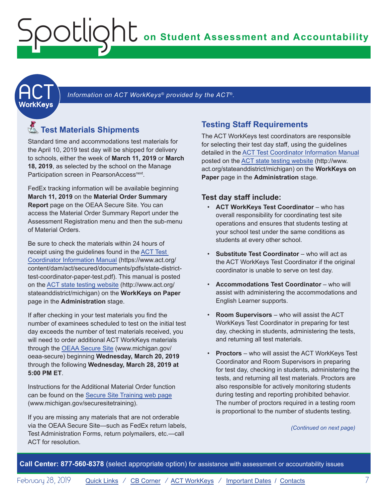<span id="page-6-1"></span><span id="page-6-0"></span>**ACT** 

Information on ACT WorkKeys<sup>®</sup> provided by the ACT<sup>®</sup>.

## Reminders **Test Materials Shipments**

Standard time and accommodations test materials for the April 10, 2019 test day will be shipped for delivery to schools, either the week of **March 11, 2019** or **March 18, 2019**, as selected by the school on the Manage Participation screen in PearsonAccess<sup>next</sup>.

FedEx tracking information will be available beginning **March 11, 2019** on the **Material Order Summary Report** page on the OEAA Secure Site. You can access the Material Order Summary Report under the Assessment Registration menu and then the sub-menu of Material Orders.

Be sure to check the materials within 24 hours of receipt using the guidelines found in the [ACT Test](https://www.act.org/content/dam/act/secured/documents/pdfs/state-district-test-coordinator-paper-test.pdf)  [Coordinator Information Manual](https://www.act.org/content/dam/act/secured/documents/pdfs/state-district-test-coordinator-paper-test.pdf) (https://www.act.org/ content/dam/act/secured/documents/pdfs/state-districttest-coordinator-paper-test.pdf). This manual is posted on the [ACT state testing website](http://www.act.org/stateanddistrict/michigan) (http://www.act.org/ stateanddistrict/michigan) on the **WorkKeys on Paper**  page in the **Administration** stage.

If after checking in your test materials you find the number of examinees scheduled to test on the initial test day exceeds the number of test materials received, you will need to order additional ACT WorkKeys materials through the [OEAA Secure Site](http://www.michigan.gov/oeaa-secure) (www.michigan.gov/ oeaa-secure) beginning **Wednesday, March 20, 2019** through the following **Wednesday, March 28, 2019 at 5:00 PM ET**.

Instructions for the Additional Material Order function can be found on the [Secure Site Training web page](http://www.michigan.gov/securesitetraining) (www.michigan.gov/securesitetraining).

If you are missing any materials that are not orderable via the OEAA Secure Site—such as FedEx return labels, Test Administration Forms, return polymailers, etc.—call ACT for resolution.

### **Testing Staff Requirements**

The ACT WorkKeys test coordinators are responsible for selecting their test day staff, using the guidelines detailed in the [ACT Test Coordinator Information Manual](https://www.act.org/content/dam/act/secured/documents/pdfs/state-district-test-coordinator-paper-test.pdf) posted on the [ACT state testing website](http://www.act.org/stateanddistrict/michigan) (http://www. act.org/stateanddistrict/michigan) on the **WorkKeys on Paper** page in the **Administration** stage.

#### **Test day staff include:**

- **ACT WorkKeys Test Coordinator** who has overall responsibility for coordinating test site operations and ensures that students testing at your school test under the same conditions as students at every other school.
- Substitute Test Coordinator who will act as the ACT WorkKeys Test Coordinator if the original coordinator is unable to serve on test day.
- **Accommodations Test Coordinator**  who will assist with administering the accommodations and English Learner supports.
- **Room Supervisors**  who will assist the ACT WorkKeys Test Coordinator in preparing for test day, checking in students, administering the tests, and returning all test materials.
- **Proctors**  who will assist the ACT WorkKeys Test Coordinator and Room Supervisors in preparing for test day, checking in students, administering the tests, and returning all test materials. Proctors are also responsible for actively monitoring students during testing and reporting prohibited behavior. The number of proctors required in a testing room is proportional to the number of students testing.

*(Continued on next page)*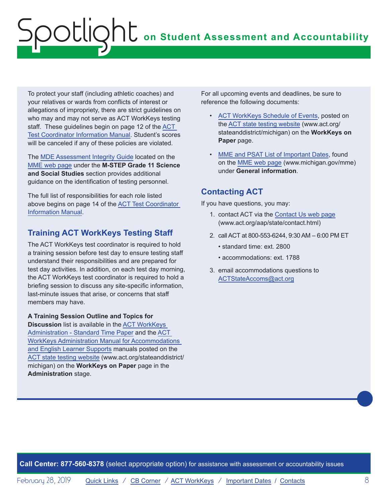To protect your staff (including athletic coaches) and your relatives or wards from conflicts of interest or allegations of impropriety, there are strict guidelines on who may and may not serve as ACT WorkKeys testing staff. These guidelines begin on page 12 of the [ACT](https://www.act.org/content/dam/act/secured/documents/pdfs/state-district-test-coordinator-paper-test.pdf)  [Test Coordinator Information Manual.](https://www.act.org/content/dam/act/secured/documents/pdfs/state-district-test-coordinator-paper-test.pdf) Student's scores will be canceled if any of these policies are violated.

The [MDE Assessment Integrity Guide](https://www.michigan.gov/documents/mde/Assessment_Integrity_Guide_291950_7.pdf) located on the [MME web page](www.michigan.gov/mme) under the **M-STEP Grade 11 Science and Social Studies** section provides additional guidance on the identification of testing personnel.

The full list of responsibilities for each role listed above begins on page 14 of the [ACT Test Coordinator](https://www.act.org/content/dam/act/secured/documents/pdfs/state-district-test-coordinator-paper-test.pdf)  [Information Manual.](https://www.act.org/content/dam/act/secured/documents/pdfs/state-district-test-coordinator-paper-test.pdf)

### **Training ACT WorkKeys Testing Staff**

The ACT WorkKeys test coordinator is required to hold a training session before test day to ensure testing staff understand their responsibilities and are prepared for test day activities. In addition, on each test day morning, the ACT WorkKeys test coordinator is required to hold a briefing session to discuss any site-specific information, last-minute issues that arise, or concerns that staff members may have.

**A Training Session Outline and Topics for Discussion** list is available in the [ACT WorkKeys](http://www.act.org/content/dam/act/secured/documents/pdfs/WK-Admin-SD-Std-Time-Paper-Secured.pdf)  [Administration - Standard Time Paper](http://www.act.org/content/dam/act/secured/documents/pdfs/WK-Admin-SD-Std-Time-Paper-Secured.pdf) and the [ACT](http://www.act.org/content/dam/act/secured/documents/pdfs/WK-Admin-SD-Accoms-Secured.pdf)  [WorkKeys Administration Manual for Accommodations](http://www.act.org/content/dam/act/secured/documents/pdfs/WK-Admin-SD-Accoms-Secured.pdf)  [and English Learner Supports](http://www.act.org/content/dam/act/secured/documents/pdfs/WK-Admin-SD-Accoms-Secured.pdf) manuals posted on the [ACT state testing website](http://www.act.org/stateanddistrict/michigan) (www.act.org/stateanddistrict/ michigan) on the **WorkKeys on Paper** page in the **Administration** stage.

For all upcoming events and deadlines, be sure to reference the following documents:

- [ACT WorkKeys Schedule of Events](http://www.act.org/content/dam/act/unsecured/documents/ScheduleofEventsWorkKeys-MI.pdf), posted on the [ACT state testing website](http://www.act.org/stateanddistrict/michigan) (www.act.org/ stateanddistrict/michigan) on the **WorkKeys on Paper** page.
- [MME and PSAT List of Important Dates,](https://www.michigan.gov/documents/mde/MME_List_of_Important_Dates_634790_7.pdf) found on the [MME web page](www.michigan.gov/mme) (www.michigan.gov/mme) under **General information**.

## **Contacting ACT**

If you have questions, you may:

- 1. contact ACT via the [Contact Us web page](http://www.act.org/aap/state/contact.html) ([www.act.org/aap/state/contact.html\)](www.act.org/aap/state/contact.html)
- 2. call ACT at 800-553-6244, 9:30 AM 6:00 PM ET
	- standard time: ext. 2800
	- accommodations: ext. 1788
- 3. email accommodations questions to [ACTStateAccoms@act.org](mailto:ACTStateAccoms%40act.org?subject=)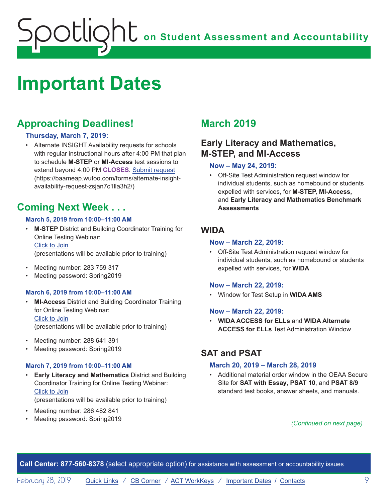# <span id="page-8-1"></span><span id="page-8-0"></span>**Important Dates**

## **Approaching Deadlines!**

#### **Thursday, March 7, 2019:**

• Alternate INSIGHT Availability requests for schools with regular instructional hours after 4:00 PM that plan to schedule **M-STEP** or **MI-Access** test sessions to extend beyond 4:00 PM **CLOSES**. [Submit request](https://baameap.wufoo.com/forms/alternate-insight-availability-request-zsjan7c1lla3h2/) (https://baameap.wufoo.com/forms/alternate-insightavailability-request-zsjan7c1lla3h2/)

## **Coming Next Week . . .**

#### **March 5, 2019 from 10:00–11:00 AM**

• **M-STEP** District and Building Coordinator Training for Online Testing Webinar: Click to Join

(presentations will be available prior to training)

- Meeting number: 283 759 317
- Meeting password: Spring2019

#### **March 6, 2019 from 10:00–11:00 AM**

- **MI-Access** District and Building Coordinator Training for Online Testing Webinar: Click to Join (presentations will be available prior to training)
- Meeting number: 288 641 391
- Meeting password: Spring2019

#### **March 7, 2019 from 10:00–11:00 AM**

- **Early Literacy and Mathematics** District and Building Coordinator Training for Online Testing Webinar: Click to Join (presentations will be available prior to training)
- Meeting number: 286 482 841
- Meeting password: Spring2019

## **March 2019**

## **Early Literacy and Mathematics, M-STEP, and MI-Access**

#### **Now – May 24, 2019:**

• Off-Site Test Administration request window for individual students, such as homebound or students expelled with services, for **M-STEP, MI-Access,**  and **Early Literacy and Mathematics Benchmark Assessments**

### **WIDA**

#### **Now – March 22, 2019:**

• Off-Site Test Administration request window for individual students, such as homebound or students expelled with services, for **WIDA**

#### **Now – March 22, 2019:**

• Window for Test Setup in **WIDA AMS**

#### **Now – March 22, 2019:**

• **WIDA ACCESS for ELLs** and **WIDA Alternate ACCESS for ELLs** Test Administration Window

## **SAT and PSAT**

#### **March 20, 2019 – March 28, 2019**

• Additional material order window in the OEAA Secure Site for **SAT with Essay**, **PSAT 10**, and **PSAT 8/9** standard test books, answer sheets, and manuals.

*(Continued on next page)*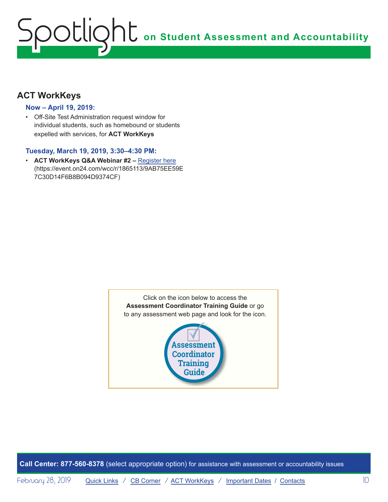## **ACT WorkKeys**

#### **Now – April 19, 2019:**

• Off-Site Test Administration request window for individual students, such as homebound or students expelled with services, for **ACT WorkKeys**

#### **Tuesday, March 19, 2019, 3:30–4:30 PM:**

• **ACT WorkKeys Q&A Webinar #2 –** [Register here](https://event.on24.com/wcc/r/1865113/9AB75EE59E7C30D14F6B8B094D9374CF) (https://event.on24.com/wcc/r/1865113/9AB75EE59E 7C30D14F6B8B094D9374CF)

> Click on the icon below to access the **Assessment Coordinator Training Guide** or go to any assessment web page and look for the icon.